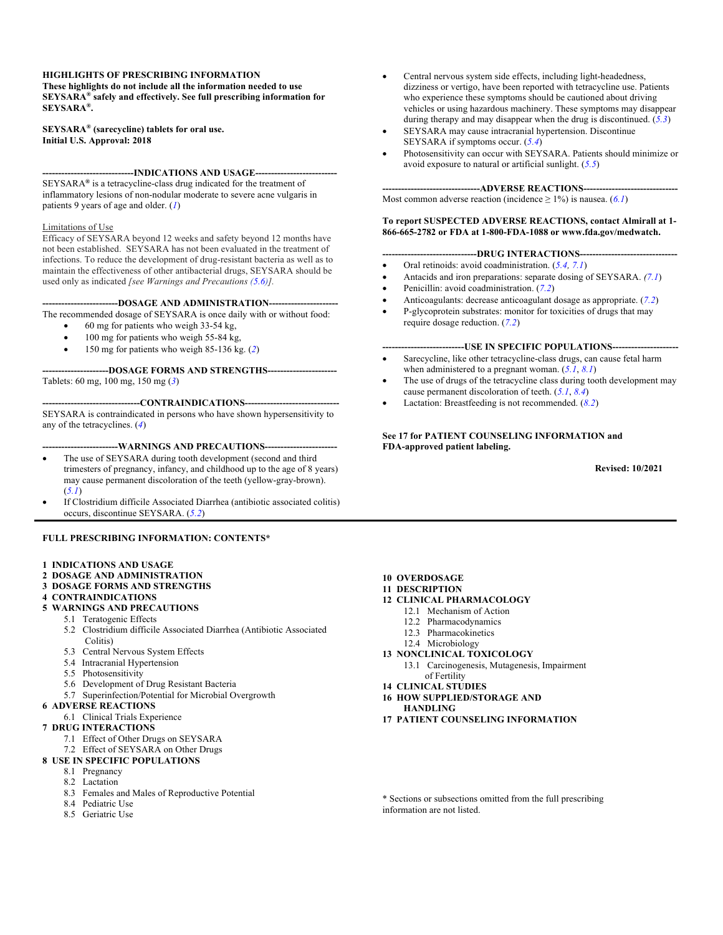#### **HIGHLIGHTS OF PRESCRIBING INFORMATION**

**These highlights do not include all the information needed to use SEYSARA® safely and effectively. See full prescribing information for SEYSARA®.**

#### **SEYSARA® (sarecycline) tablets for oral use. Initial U.S. Approval: 2018**

**-----------------------------INDICATIONS AND USAGE--------------------------** SEYSARA**®** is a tetracycline-class drug indicated for the treatment of inflammatory lesions of non-nodular moderate to severe acne vulgaris in patients 9 years of age and older. (*1*)

#### Limitations of Use

Efficacy of SEYSARA beyond 12 weeks and safety beyond 12 months have not been established. SEYSARA has not been evaluated in the treatment of infections. To reduce the development of drug-resistant bacteria as well as to maintain the effectiveness of other antibacterial drugs, SEYSARA should be used only as indicated *[see Warnings and Precautions (5.6)].*

#### **------------------------DOSAGE AND ADMINISTRATION----------------------**

The recommended dosage of SEYSARA is once daily with or without food:

- 60 mg for patients who weigh 33-54 kg,
- 100 mg for patients who weigh 55-84 kg,
- 150 mg for patients who weigh 85-136 kg. (*2*)

#### **---------------------DOSAGE FORMS AND STRENGTHS----------------------** Tablets: 60 mg, 100 mg, 150 mg (*3*)

**-------------------------------CONTRAINDICATIONS------------------------------** SEYSARA is contraindicated in persons who have shown hypersensitivity to any of the tetracyclines. (*4*)

#### ---WARNINGS AND PRECAUTIONS---

- The use of SEYSARA during tooth development (second and third trimesters of pregnancy, infancy, and childhood up to the age of 8 years) may cause permanent discoloration of the teeth (yellow-gray-brown). (*5.1*)
- If Clostridium difficile Associated Diarrhea (antibiotic associated colitis) occurs, discontinue SEYSARA. (*5.2*)

#### **FULL PRESCRIBING INFORMATION: CONTENTS\***

- **1 INDICATIONS AND USAGE**
- **2 DOSAGE AND ADMINISTRATION**

#### **3 DOSAGE FORMS AND STRENGTHS**

- **4 CONTRAINDICATIONS**
- **5 WARNINGS AND PRECAUTIONS**
	- 5.1 Teratogenic Effects
	- 5.2 Clostridium difficile Associated Diarrhea (Antibiotic Associated Colitis)
	- 5.3 Central Nervous System Effects
	- 5.4 Intracranial Hypertension
	- 5.5 Photosensitivity
	- 5.6 Development of Drug Resistant Bacteria
	- 5.7 Superinfection/Potential for Microbial Overgrowth
- **6 ADVERSE REACTIONS**
	- 6.1 Clinical Trials Experience

#### **7 DRUG INTERACTIONS**

- 7.1 Effect of Other Drugs on SEYSARA
- 7.2 Effect of SEYSARA on Other Drugs
- **8 USE IN SPECIFIC POPULATIONS**
	- 8.1 Pregnancy
	- 8.2 Lactation
	- 8.3 Females and Males of Reproductive Potential
	- 8.4 Pediatric Use
	- 8.5 Geriatric Use
- Central nervous system side effects, including light-headedness, dizziness or vertigo, have been reported with tetracycline use. Patients who experience these symptoms should be cautioned about driving vehicles or using hazardous machinery. These symptoms may disappear during therapy and may disappear when the drug is discontinued. (*5.3*)
- SEYSARA may cause intracranial hypertension. Discontinue SEYSARA if symptoms occur. (*5.4*)
- Photosensitivity can occur with SEYSARA. Patients should minimize or avoid exposure to natural or artificial sunlight. (*5.5*)

#### ----ADVERSE REACTIONS----

Most common adverse reaction (incidence  $\geq 1\%$ ) is nausea. (6.1)

#### **To report SUSPECTED ADVERSE REACTIONS, contact Almirall at 1- 866-665-2782 or FDA at 1-800-FDA-1088 or www.fda.gov/medwatch.**

#### **------------------------------DRUG INTERACTIONS-------------------------------**

- Oral retinoids: avoid coadministration. (*5.4, 7.1*)
- Antacids and iron preparations: separate dosing of SEYSARA. *(7.1*)
- Penicillin: avoid coadministration. (*7.2*)
- Anticoagulants: decrease anticoagulant dosage as appropriate. (*7.2*)
- P-glycoprotein substrates: monitor for toxicities of drugs that may require dosage reduction. (*7.2*)

#### --USE IN SPECIFIC POPULATIONS--

- Sarecycline, like other tetracycline-class drugs, can cause fetal harm when administered to a pregnant woman. (*5.1*, *8.1*)
- The use of drugs of the tetracycline class during tooth development may cause permanent discoloration of teeth. (*5.1*, *8.4*)
- Lactation: Breastfeeding is not recommended. (8.2)

#### **See 17 for PATIENT COUNSELING INFORMATION and FDA-approved patient labeling.**

 **Revised: 10/2021**

#### **10 OVERDOSAGE**

- **11 DESCRIPTION**
- **12 CLINICAL PHARMACOLOGY**
	- 12.1 Mechanism of Action
	- 12.2 Pharmacodynamics
	- 12.3 Pharmacokinetics
	- 12.4 Microbiology
- **13 NONCLINICAL TOXICOLOGY**
	- 13.1 Carcinogenesis, Mutagenesis, Impairment of Fertility
- **14 CLINICAL STUDIES**
- **16 HOW SUPPLIED/STORAGE AND**
- **HANDLING**
- **17 PATIENT COUNSELING INFORMATION**

\* Sections or subsections omitted from the full prescribing information are not listed.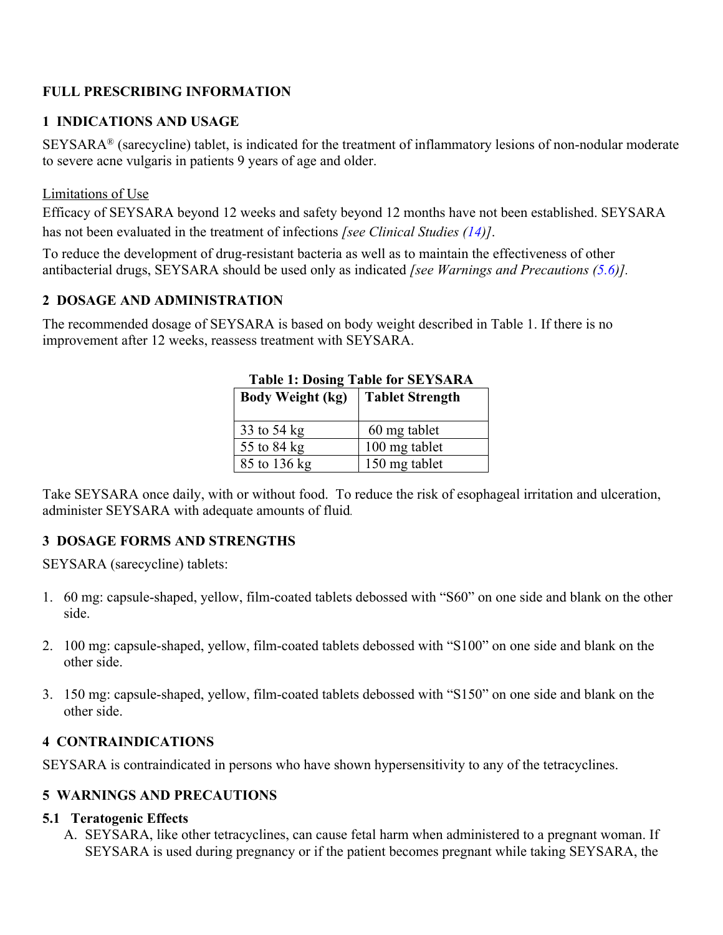## **FULL PRESCRIBING INFORMATION**

## **1 INDICATIONS AND USAGE**

SEYSARA® (sarecycline) tablet, is indicated for the treatment of inflammatory lesions of non-nodular moderate to severe acne vulgaris in patients 9 years of age and older.

#### Limitations of Use

Efficacy of SEYSARA beyond 12 weeks and safety beyond 12 months have not been established. SEYSARA has not been evaluated in the treatment of infections *[see Clinical Studies (14)]*.

To reduce the development of drug-resistant bacteria as well as to maintain the effectiveness of other antibacterial drugs, SEYSARA should be used only as indicated *[see Warnings and Precautions (5.6)].*

#### **2 DOSAGE AND ADMINISTRATION**

The recommended dosage of SEYSARA is based on body weight described in Table 1. If there is no improvement after 12 weeks, reassess treatment with SEYSARA.

| TADIE 1: DOSING TADIE IOF SE Y SARA |                        |  |  |
|-------------------------------------|------------------------|--|--|
| <b>Body Weight (kg)</b>             | <b>Tablet Strength</b> |  |  |
| 33 to 54 kg                         | 60 mg tablet           |  |  |
| 55 to 84 kg                         | 100 mg tablet          |  |  |
| 85 to 136 kg                        | 150 mg tablet          |  |  |

# **Table 1: Dosing Table for SEYSARA**

Take SEYSARA once daily, with or without food. To reduce the risk of esophageal irritation and ulceration, administer SEYSARA with adequate amounts of fluid*.*

## **3 DOSAGE FORMS AND STRENGTHS**

SEYSARA (sarecycline) tablets:

- 1. 60 mg: capsule-shaped, yellow, film-coated tablets debossed with "S60" on one side and blank on the other side.
- 2. 100 mg: capsule-shaped, yellow, film-coated tablets debossed with "S100" on one side and blank on the other side.
- 3. 150 mg: capsule-shaped, yellow, film-coated tablets debossed with "S150" on one side and blank on the other side.

## **4 CONTRAINDICATIONS**

SEYSARA is contraindicated in persons who have shown hypersensitivity to any of the tetracyclines.

## **5 WARNINGS AND PRECAUTIONS**

#### **5.1 Teratogenic Effects**

A. SEYSARA, like other tetracyclines, can cause fetal harm when administered to a pregnant woman. If SEYSARA is used during pregnancy or if the patient becomes pregnant while taking SEYSARA, the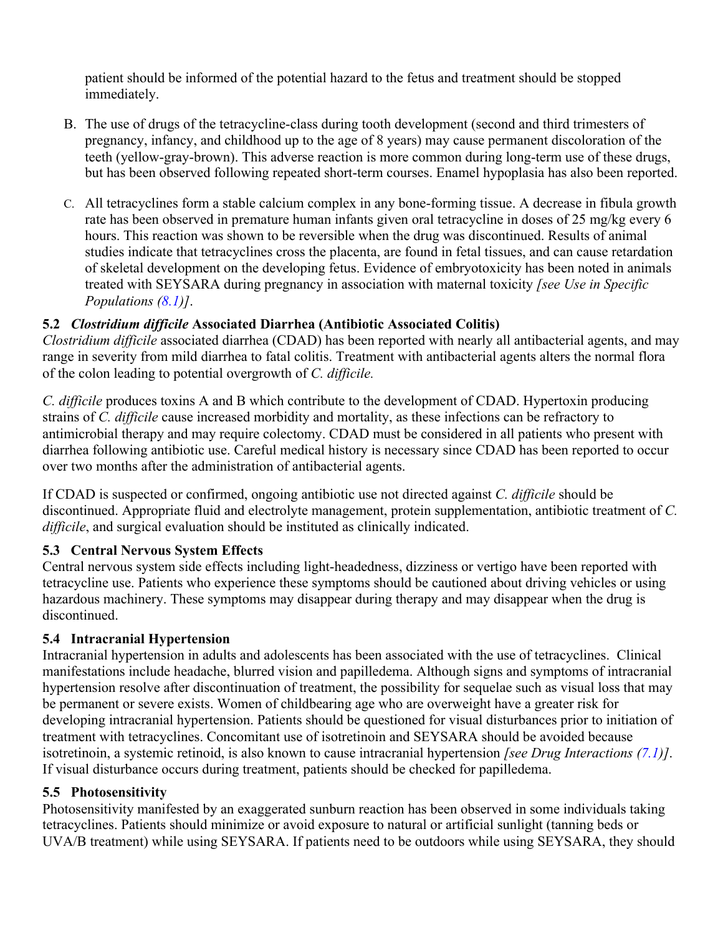patient should be informed of the potential hazard to the fetus and treatment should be stopped immediately.

- B. The use of drugs of the tetracycline-class during tooth development (second and third trimesters of pregnancy, infancy, and childhood up to the age of 8 years) may cause permanent discoloration of the teeth (yellow-gray-brown). This adverse reaction is more common during long-term use of these drugs, but has been observed following repeated short-term courses. Enamel hypoplasia has also been reported.
- C. All tetracyclines form a stable calcium complex in any bone-forming tissue. A decrease in fibula growth rate has been observed in premature human infants given oral tetracycline in doses of 25 mg/kg every 6 hours. This reaction was shown to be reversible when the drug was discontinued. Results of animal studies indicate that tetracyclines cross the placenta, are found in fetal tissues, and can cause retardation of skeletal development on the developing fetus. Evidence of embryotoxicity has been noted in animals treated with SEYSARA during pregnancy in association with maternal toxicity *[see Use in Specific Populations (8.1)]*.

## **5.2** *Clostridium difficile* **Associated Diarrhea (Antibiotic Associated Colitis)**

*Clostridium difficile* associated diarrhea (CDAD) has been reported with nearly all antibacterial agents, and may range in severity from mild diarrhea to fatal colitis. Treatment with antibacterial agents alters the normal flora of the colon leading to potential overgrowth of *C. difficile.*

*C. difficile* produces toxins A and B which contribute to the development of CDAD. Hypertoxin producing strains of *C. difficile* cause increased morbidity and mortality, as these infections can be refractory to antimicrobial therapy and may require colectomy. CDAD must be considered in all patients who present with diarrhea following antibiotic use. Careful medical history is necessary since CDAD has been reported to occur over two months after the administration of antibacterial agents.

If CDAD is suspected or confirmed, ongoing antibiotic use not directed against *C. difficile* should be discontinued. Appropriate fluid and electrolyte management, protein supplementation, antibiotic treatment of *C. difficile*, and surgical evaluation should be instituted as clinically indicated.

#### **5.3 Central Nervous System Effects**

Central nervous system side effects including light-headedness, dizziness or vertigo have been reported with tetracycline use. Patients who experience these symptoms should be cautioned about driving vehicles or using hazardous machinery. These symptoms may disappear during therapy and may disappear when the drug is discontinued.

#### **5.4 Intracranial Hypertension**

Intracranial hypertension in adults and adolescents has been associated with the use of tetracyclines. Clinical manifestations include headache, blurred vision and papilledema. Although signs and symptoms of intracranial hypertension resolve after discontinuation of treatment, the possibility for sequelae such as visual loss that may be permanent or severe exists. Women of childbearing age who are overweight have a greater risk for developing intracranial hypertension. Patients should be questioned for visual disturbances prior to initiation of treatment with tetracyclines. Concomitant use of isotretinoin and SEYSARA should be avoided because isotretinoin, a systemic retinoid, is also known to cause intracranial hypertension *[see Drug Interactions (7.1)]*. If visual disturbance occurs during treatment, patients should be checked for papilledema.

#### **5.5 Photosensitivity**

Photosensitivity manifested by an exaggerated sunburn reaction has been observed in some individuals taking tetracyclines. Patients should minimize or avoid exposure to natural or artificial sunlight (tanning beds or UVA/B treatment) while using SEYSARA. If patients need to be outdoors while using SEYSARA, they should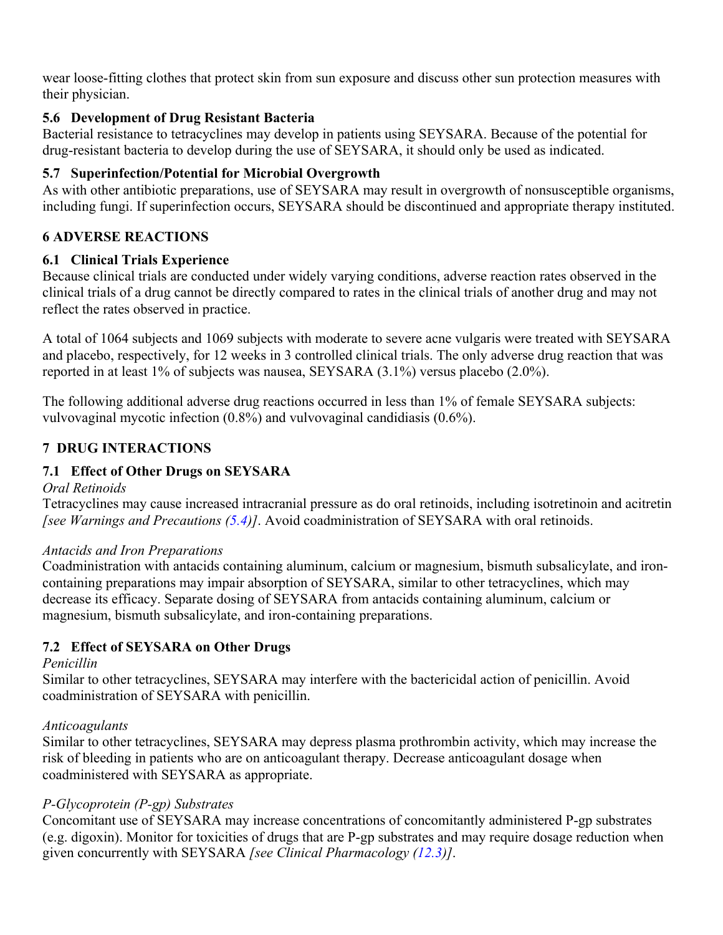wear loose-fitting clothes that protect skin from sun exposure and discuss other sun protection measures with their physician.

## **5.6 Development of Drug Resistant Bacteria**

Bacterial resistance to tetracyclines may develop in patients using SEYSARA. Because of the potential for drug-resistant bacteria to develop during the use of SEYSARA, it should only be used as indicated.

# **5.7 Superinfection/Potential for Microbial Overgrowth**

As with other antibiotic preparations, use of SEYSARA may result in overgrowth of nonsusceptible organisms, including fungi. If superinfection occurs, SEYSARA should be discontinued and appropriate therapy instituted.

## **6 ADVERSE REACTIONS**

## **6.1 Clinical Trials Experience**

Because clinical trials are conducted under widely varying conditions, adverse reaction rates observed in the clinical trials of a drug cannot be directly compared to rates in the clinical trials of another drug and may not reflect the rates observed in practice.

A total of 1064 subjects and 1069 subjects with moderate to severe acne vulgaris were treated with SEYSARA and placebo, respectively, for 12 weeks in 3 controlled clinical trials. The only adverse drug reaction that was reported in at least 1% of subjects was nausea, SEYSARA (3.1%) versus placebo (2.0%).

The following additional adverse drug reactions occurred in less than 1% of female SEYSARA subjects: vulvovaginal mycotic infection (0.8%) and vulvovaginal candidiasis (0.6%).

# **7 DRUG INTERACTIONS**

# **7.1 Effect of Other Drugs on SEYSARA**

#### *Oral Retinoids*

Tetracyclines may cause increased intracranial pressure as do oral retinoids, including isotretinoin and acitretin *[see Warnings and Precautions (5.4)]*. Avoid coadministration of SEYSARA with oral retinoids.

## *Antacids and Iron Preparations*

Coadministration with antacids containing aluminum, calcium or magnesium, bismuth subsalicylate, and ironcontaining preparations may impair absorption of SEYSARA, similar to other tetracyclines, which may decrease its efficacy. Separate dosing of SEYSARA from antacids containing aluminum, calcium or magnesium, bismuth subsalicylate, and iron-containing preparations.

# **7.2 Effect of SEYSARA on Other Drugs**

## *Penicillin*

Similar to other tetracyclines, SEYSARA may interfere with the bactericidal action of penicillin. Avoid coadministration of SEYSARA with penicillin.

## *Anticoagulants*

Similar to other tetracyclines, SEYSARA may depress plasma prothrombin activity, which may increase the risk of bleeding in patients who are on anticoagulant therapy. Decrease anticoagulant dosage when coadministered with SEYSARA as appropriate.

## *P-Glycoprotein (P-gp) Substrates*

Concomitant use of SEYSARA may increase concentrations of concomitantly administered P-gp substrates (e.g. digoxin). Monitor for toxicities of drugs that are P-gp substrates and may require dosage reduction when given concurrently with SEYSARA *[see Clinical Pharmacology (12.3)]*.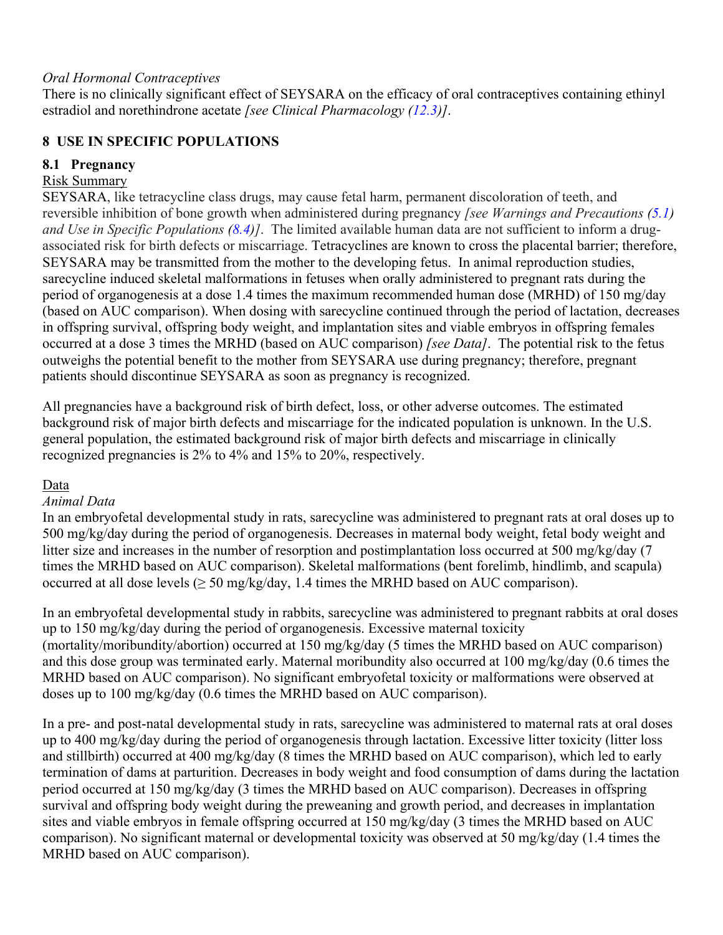#### *Oral Hormonal Contraceptives*

There is no clinically significant effect of SEYSARA on the efficacy of oral contraceptives containing ethinyl estradiol and norethindrone acetate *[see Clinical Pharmacology (12.3)]*.

#### **8 USE IN SPECIFIC POPULATIONS**

#### **8.1 Pregnancy**

## Risk Summary

SEYSARA, like tetracycline class drugs, may cause fetal harm, permanent discoloration of teeth, and reversible inhibition of bone growth when administered during pregnancy *[see Warnings and Precautions (5.1) and Use in Specific Populations (8.4)]*. The limited available human data are not sufficient to inform a drugassociated risk for birth defects or miscarriage. Tetracyclines are known to cross the placental barrier; therefore, SEYSARA may be transmitted from the mother to the developing fetus. In animal reproduction studies, sarecycline induced skeletal malformations in fetuses when orally administered to pregnant rats during the period of organogenesis at a dose 1.4 times the maximum recommended human dose (MRHD) of 150 mg/day (based on AUC comparison). When dosing with sarecycline continued through the period of lactation, decreases in offspring survival, offspring body weight, and implantation sites and viable embryos in offspring females occurred at a dose 3 times the MRHD (based on AUC comparison) *[see Data]*. The potential risk to the fetus outweighs the potential benefit to the mother from SEYSARA use during pregnancy; therefore, pregnant patients should discontinue SEYSARA as soon as pregnancy is recognized.

All pregnancies have a background risk of birth defect, loss, or other adverse outcomes. The estimated background risk of major birth defects and miscarriage for the indicated population is unknown. In the U.S. general population, the estimated background risk of major birth defects and miscarriage in clinically recognized pregnancies is 2% to 4% and 15% to 20%, respectively.

#### Data

#### *Animal Data*

In an embryofetal developmental study in rats, sarecycline was administered to pregnant rats at oral doses up to 500 mg/kg/day during the period of organogenesis. Decreases in maternal body weight, fetal body weight and litter size and increases in the number of resorption and postimplantation loss occurred at 500 mg/kg/day (7) times the MRHD based on AUC comparison). Skeletal malformations (bent forelimb, hindlimb, and scapula) occurred at all dose levels ( $\geq$  50 mg/kg/day, 1.4 times the MRHD based on AUC comparison).

In an embryofetal developmental study in rabbits, sarecycline was administered to pregnant rabbits at oral doses up to 150 mg/kg/day during the period of organogenesis. Excessive maternal toxicity (mortality/moribundity/abortion) occurred at 150 mg/kg/day (5 times the MRHD based on AUC comparison) and this dose group was terminated early. Maternal moribundity also occurred at 100 mg/kg/day (0.6 times the MRHD based on AUC comparison). No significant embryofetal toxicity or malformations were observed at doses up to 100 mg/kg/day (0.6 times the MRHD based on AUC comparison).

In a pre- and post-natal developmental study in rats, sarecycline was administered to maternal rats at oral doses up to 400 mg/kg/day during the period of organogenesis through lactation. Excessive litter toxicity (litter loss and stillbirth) occurred at 400 mg/kg/day (8 times the MRHD based on AUC comparison), which led to early termination of dams at parturition. Decreases in body weight and food consumption of dams during the lactation period occurred at 150 mg/kg/day (3 times the MRHD based on AUC comparison). Decreases in offspring survival and offspring body weight during the preweaning and growth period, and decreases in implantation sites and viable embryos in female offspring occurred at 150 mg/kg/day (3 times the MRHD based on AUC comparison). No significant maternal or developmental toxicity was observed at 50 mg/kg/day (1.4 times the MRHD based on AUC comparison).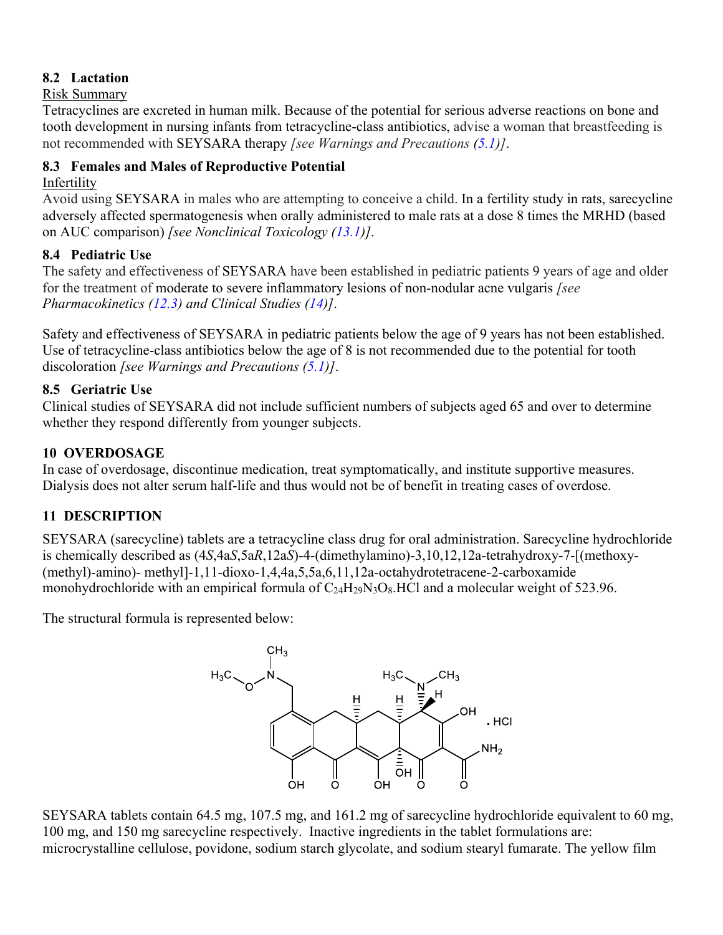## **8.2 Lactation**

#### Risk Summary

Tetracyclines are excreted in human milk. Because of the potential for serious adverse reactions on bone and tooth development in nursing infants from tetracycline-class antibiotics, advise a woman that breastfeeding is not recommended with SEYSARA therapy *[see Warnings and Precautions (5.1)]*.

### **8.3 Females and Males of Reproductive Potential**

#### Infertility

Avoid using SEYSARA in males who are attempting to conceive a child. In a fertility study in rats, sarecycline adversely affected spermatogenesis when orally administered to male rats at a dose 8 times the MRHD (based on AUC comparison) *[see Nonclinical Toxicology (13.1)]*.

#### **8.4 Pediatric Use**

The safety and effectiveness of SEYSARA have been established in pediatric patients 9 years of age and older for the treatment of moderate to severe inflammatory lesions of non-nodular acne vulgaris *[see Pharmacokinetics (12.3) and Clinical Studies (14)]*.

Safety and effectiveness of SEYSARA in pediatric patients below the age of 9 years has not been established. Use of tetracycline-class antibiotics below the age of 8 is not recommended due to the potential for tooth discoloration *[see Warnings and Precautions (5.1)]*.

#### **8.5 Geriatric Use**

Clinical studies of SEYSARA did not include sufficient numbers of subjects aged 65 and over to determine whether they respond differently from younger subjects.

#### **10 OVERDOSAGE**

In case of overdosage, discontinue medication, treat symptomatically, and institute supportive measures. Dialysis does not alter serum half-life and thus would not be of benefit in treating cases of overdose.

## **11 DESCRIPTION**

SEYSARA (sarecycline) tablets are a tetracycline class drug for oral administration. Sarecycline hydrochloride is chemically described as (4*S*,4a*S*,5a*R*,12a*S*)-4-(dimethylamino)-3,10,12,12a-tetrahydroxy-7-[(methoxy- (methyl)-amino)- methyl]-1,11-dioxo-1,4,4a,5,5a,6,11,12a-octahydrotetracene-2-carboxamide monohydrochloride with an empirical formula of C<sub>24</sub>H<sub>29</sub>N<sub>3</sub>O<sub>8</sub>.HCl and a molecular weight of 523.96.

The structural formula is represented below:



SEYSARA tablets contain 64.5 mg, 107.5 mg, and 161.2 mg of sarecycline hydrochloride equivalent to 60 mg, 100 mg, and 150 mg sarecycline respectively. Inactive ingredients in the tablet formulations are: microcrystalline cellulose, povidone, sodium starch glycolate, and sodium stearyl fumarate. The yellow film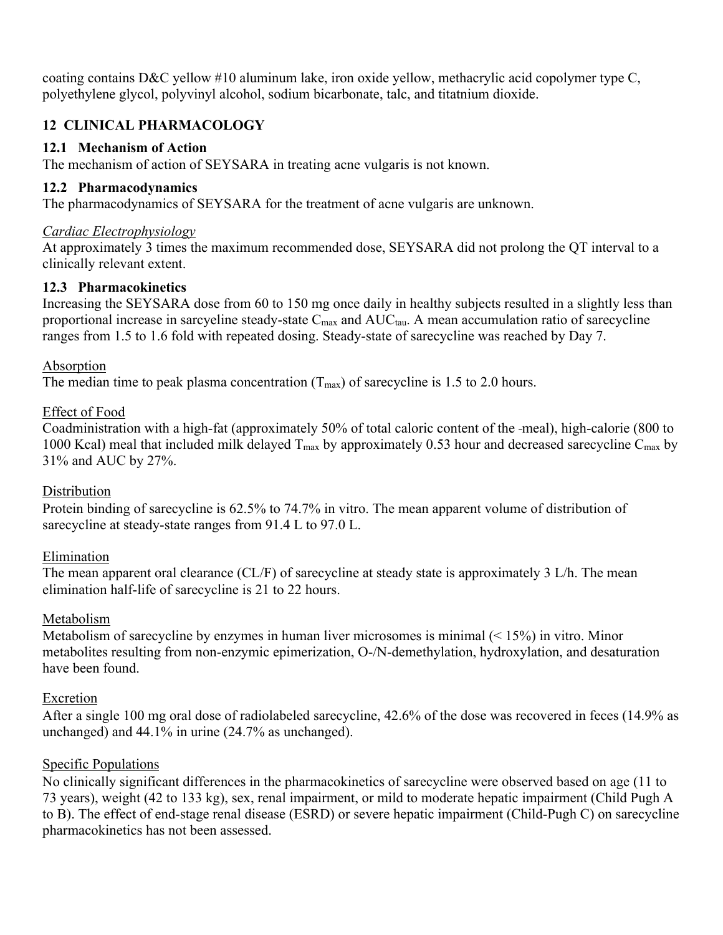coating contains D&C yellow #10 aluminum lake, iron oxide yellow, methacrylic acid copolymer type C, polyethylene glycol, polyvinyl alcohol, sodium bicarbonate, talc, and titatnium dioxide.

# **12 CLINICAL PHARMACOLOGY**

### **12.1 Mechanism of Action**

The mechanism of action of SEYSARA in treating acne vulgaris is not known.

### **12.2 Pharmacodynamics**

The pharmacodynamics of SEYSARA for the treatment of acne vulgaris are unknown.

#### *Cardiac Electrophysiology*

At approximately 3 times the maximum recommended dose, SEYSARA did not prolong the QT interval to a clinically relevant extent.

#### **12.3 Pharmacokinetics**

Increasing the SEYSARA dose from 60 to 150 mg once daily in healthy subjects resulted in a slightly less than proportional increase in sarcyeline steady-state  $C_{\text{max}}$  and  $AUC_{\text{tau}}$ . A mean accumulation ratio of sarecycline ranges from 1.5 to 1.6 fold with repeated dosing. Steady-state of sarecycline was reached by Day 7.

#### Absorption

The median time to peak plasma concentration  $(T_{\text{max}})$  of sarecycline is 1.5 to 2.0 hours.

#### Effect of Food

Coadministration with a high-fat (approximately 50% of total caloric content of the meal), high-calorie (800 to 1000 Kcal) meal that included milk delayed  $T_{\text{max}}$  by approximately 0.53 hour and decreased sarecycline  $C_{\text{max}}$  by 31% and AUC by 27%.

## **Distribution**

Protein binding of sarecycline is 62.5% to 74.7% in vitro. The mean apparent volume of distribution of sarecycline at steady-state ranges from 91.4 L to 97.0 L.

#### Elimination

The mean apparent oral clearance (CL/F) of sarecycline at steady state is approximately 3 L/h. The mean elimination half-life of sarecycline is 21 to 22 hours.

#### Metabolism

Metabolism of sarecycline by enzymes in human liver microsomes is minimal  $(< 15\%)$  in vitro. Minor metabolites resulting from non-enzymic epimerization, O-/N-demethylation, hydroxylation, and desaturation have been found.

## Excretion

After a single 100 mg oral dose of radiolabeled sarecycline, 42.6% of the dose was recovered in feces (14.9% as unchanged) and 44.1% in urine (24.7% as unchanged).

## Specific Populations

No clinically significant differences in the pharmacokinetics of sarecycline were observed based on age (11 to 73 years), weight (42 to 133 kg), sex, renal impairment, or mild to moderate hepatic impairment (Child Pugh A to B). The effect of end-stage renal disease (ESRD) or severe hepatic impairment (Child-Pugh C) on sarecycline pharmacokinetics has not been assessed.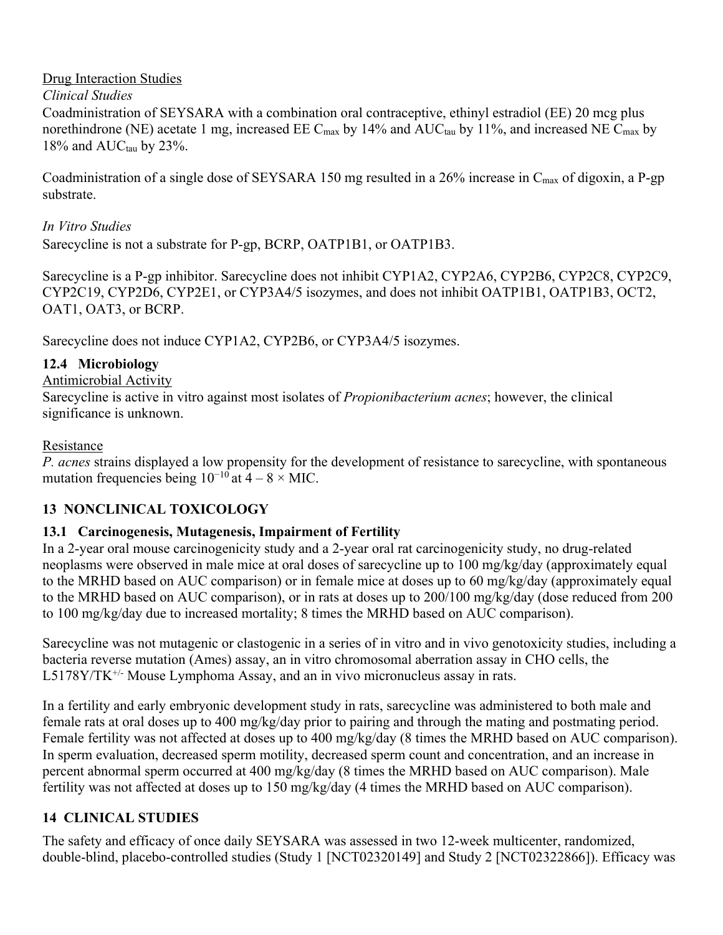## Drug Interaction Studies

### *Clinical Studies*

Coadministration of SEYSARA with a combination oral contraceptive, ethinyl estradiol (EE) 20 mcg plus norethindrone (NE) acetate 1 mg, increased EE C<sub>max</sub> by 14% and AUC<sub>tau</sub> by 11%, and increased NE C<sub>max</sub> by  $18\%$  and  $AUC_{tau}$  by 23%.

Coadministration of a single dose of SEYSARA 150 mg resulted in a 26% increase in C<sub>max</sub> of digoxin, a P-gp substrate.

## *In Vitro Studies*

Sarecycline is not a substrate for P-gp, BCRP, OATP1B1, or OATP1B3.

Sarecycline is a P-gp inhibitor. Sarecycline does not inhibit CYP1A2, CYP2A6, CYP2B6, CYP2C8, CYP2C9, CYP2C19, CYP2D6, CYP2E1, or CYP3A4/5 isozymes, and does not inhibit OATP1B1, OATP1B3, OCT2, OAT1, OAT3, or BCRP.

Sarecycline does not induce CYP1A2, CYP2B6, or CYP3A4/5 isozymes.

## **12.4 Microbiology**

## Antimicrobial Activity

Sarecycline is active in vitro against most isolates of *Propionibacterium acnes*; however, the clinical significance is unknown.

#### Resistance

*P. acnes* strains displayed a low propensity for the development of resistance to sarecycline, with spontaneous mutation frequencies being  $10^{-10}$  at  $4 - 8 \times$  MIC.

# **13 NONCLINICAL TOXICOLOGY**

## **13.1 Carcinogenesis, Mutagenesis, Impairment of Fertility**

In a 2-year oral mouse carcinogenicity study and a 2-year oral rat carcinogenicity study, no drug-related neoplasms were observed in male mice at oral doses of sarecycline up to 100 mg/kg/day (approximately equal to the MRHD based on AUC comparison) or in female mice at doses up to 60 mg/kg/day (approximately equal to the MRHD based on AUC comparison), or in rats at doses up to 200/100 mg/kg/day (dose reduced from 200 to 100 mg/kg/day due to increased mortality; 8 times the MRHD based on AUC comparison).

Sarecycline was not mutagenic or clastogenic in a series of in vitro and in vivo genotoxicity studies, including a bacteria reverse mutation (Ames) assay, an in vitro chromosomal aberration assay in CHO cells, the  $L5178Y/TK^{+/-}$  Mouse Lymphoma Assay, and an in vivo micronucleus assay in rats.

In a fertility and early embryonic development study in rats, sarecycline was administered to both male and female rats at oral doses up to 400 mg/kg/day prior to pairing and through the mating and postmating period. Female fertility was not affected at doses up to 400 mg/kg/day (8 times the MRHD based on AUC comparison). In sperm evaluation, decreased sperm motility, decreased sperm count and concentration, and an increase in percent abnormal sperm occurred at 400 mg/kg/day (8 times the MRHD based on AUC comparison). Male fertility was not affected at doses up to 150 mg/kg/day (4 times the MRHD based on AUC comparison).

# **14 CLINICAL STUDIES**

The safety and efficacy of once daily SEYSARA was assessed in two 12-week multicenter, randomized, double-blind, placebo-controlled studies (Study 1 [NCT02320149] and Study 2 [NCT02322866]). Efficacy was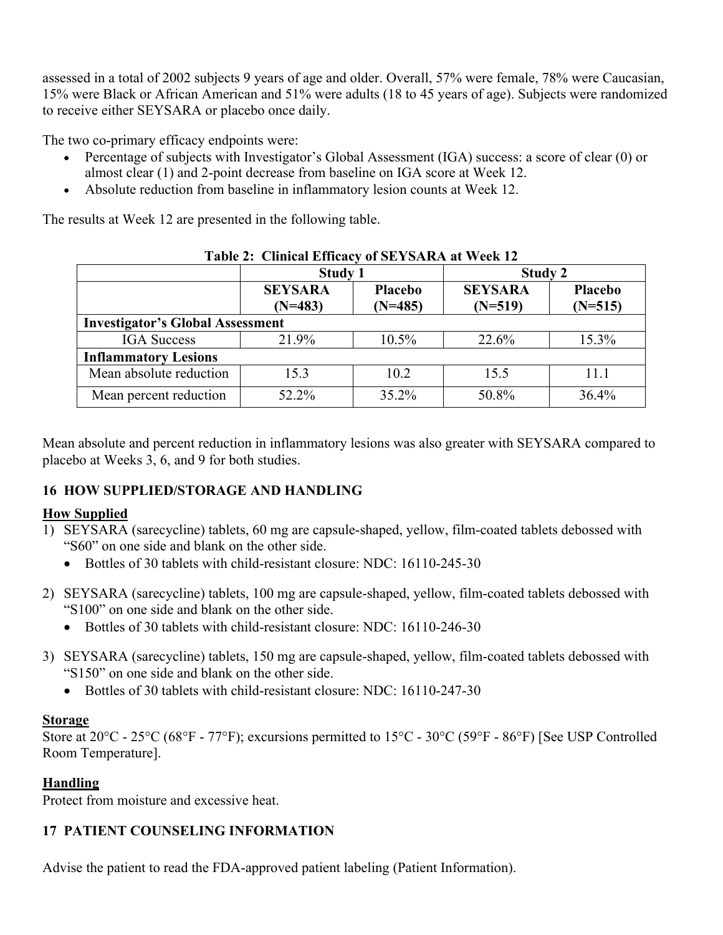assessed in a total of 2002 subjects 9 years of age and older. Overall, 57% were female, 78% were Caucasian, 15% were Black or African American and 51% were adults (18 to 45 years of age). Subjects were randomized to receive either SEYSARA or placebo once daily.

The two co-primary efficacy endpoints were:

- Percentage of subjects with Investigator's Global Assessment (IGA) success: a score of clear (0) or almost clear (1) and 2-point decrease from baseline on IGA score at Week 12.
- Absolute reduction from baseline in inflammatory lesion counts at Week 12.

The results at Week 12 are presented in the following table.

|                                         | <b>Study 1</b>              |                             | <b>Study 2</b>              |                      |  |  |
|-----------------------------------------|-----------------------------|-----------------------------|-----------------------------|----------------------|--|--|
|                                         | <b>SEYSARA</b><br>$(N=483)$ | <b>Placebo</b><br>$(N=485)$ | <b>SEYSARA</b><br>$(N=519)$ | Placebo<br>$(N=515)$ |  |  |
| <b>Investigator's Global Assessment</b> |                             |                             |                             |                      |  |  |
| <b>IGA</b> Success                      | 21.9%                       | $10.5\%$                    | 22.6%                       | 15.3%                |  |  |
| <b>Inflammatory Lesions</b>             |                             |                             |                             |                      |  |  |
| Mean absolute reduction                 | 15.3                        | 10.2                        | 15.5                        | 11.1                 |  |  |
| Mean percent reduction                  | 52.2%                       | 35.2%                       | 50.8%                       | 36.4%                |  |  |

#### **Table 2: Clinical Efficacy of SEYSARA at Week 12**

Mean absolute and percent reduction in inflammatory lesions was also greater with SEYSARA compared to placebo at Weeks 3, 6, and 9 for both studies.

## **16 HOW SUPPLIED/STORAGE AND HANDLING**

## **How Supplied**

- 1) SEYSARA (sarecycline) tablets, 60 mg are capsule-shaped, yellow, film-coated tablets debossed with "S60" on one side and blank on the other side.
	- Bottles of 30 tablets with child-resistant closure: NDC: 16110-245-30
- 2) SEYSARA (sarecycline) tablets, 100 mg are capsule-shaped, yellow, film-coated tablets debossed with "S100" on one side and blank on the other side.
	- Bottles of 30 tablets with child-resistant closure: NDC: 16110-246-30
- 3) SEYSARA (sarecycline) tablets, 150 mg are capsule-shaped, yellow, film-coated tablets debossed with "S150" on one side and blank on the other side.
	- Bottles of 30 tablets with child-resistant closure: NDC: 16110-247-30

#### **Storage**

Store at 20°C - 25°C (68°F - 77°F); excursions permitted to 15°C - 30°C (59°F - 86°F) [See USP Controlled Room Temperature].

## **Handling**

Protect from moisture and excessive heat.

## **17 PATIENT COUNSELING INFORMATION**

Advise the patient to read the FDA-approved patient labeling (Patient Information).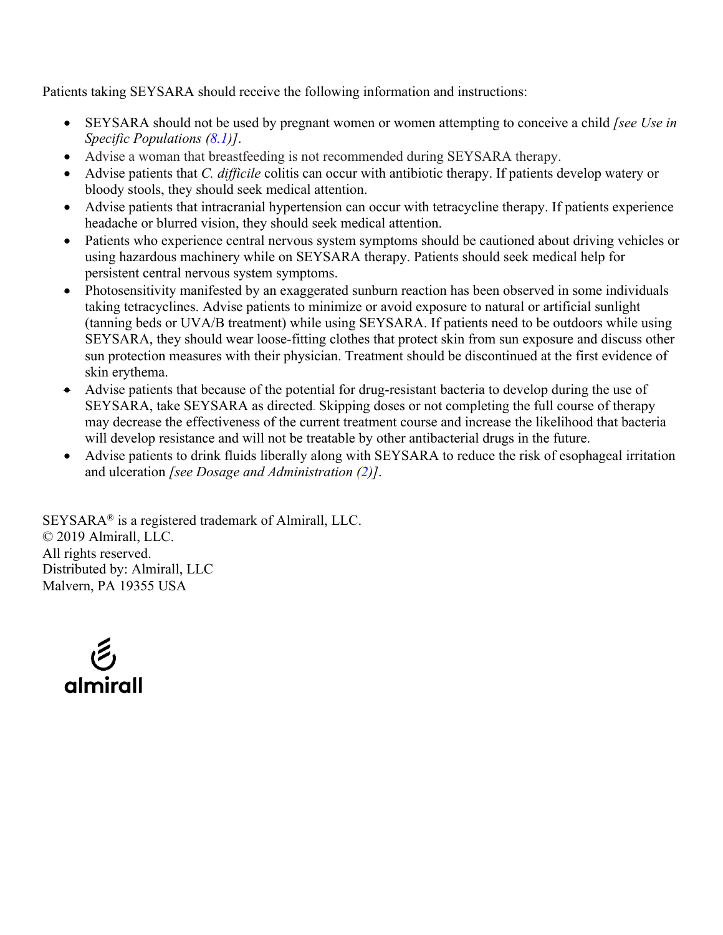Patients taking SEYSARA should receive the following information and instructions:

- SEYSARA should not be used by pregnant women or women attempting to conceive a child *[see Use in Specific Populations (8.1)]*.
- Advise a woman that breastfeeding is not recommended during SEYSARA therapy.
- Advise patients that *C. difficile* colitis can occur with antibiotic therapy. If patients develop watery or bloody stools, they should seek medical attention.
- Advise patients that intracranial hypertension can occur with tetracycline therapy. If patients experience headache or blurred vision, they should seek medical attention.
- Patients who experience central nervous system symptoms should be cautioned about driving vehicles or using hazardous machinery while on SEYSARA therapy. Patients should seek medical help for persistent central nervous system symptoms.
- Photosensitivity manifested by an exaggerated sunburn reaction has been observed in some individuals taking tetracyclines. Advise patients to minimize or avoid exposure to natural or artificial sunlight (tanning beds or UVA/B treatment) while using SEYSARA. If patients need to be outdoors while using SEYSARA, they should wear loose-fitting clothes that protect skin from sun exposure and discuss other sun protection measures with their physician. Treatment should be discontinued at the first evidence of skin erythema.
- Advise patients that because of the potential for drug-resistant bacteria to develop during the use of SEYSARA, take SEYSARA as directed. Skipping doses or not completing the full course of therapy may decrease the effectiveness of the current treatment course and increase the likelihood that bacteria will develop resistance and will not be treatable by other antibacterial drugs in the future.
- Advise patients to drink fluids liberally along with SEYSARA to reduce the risk of esophageal irritation and ulceration *[see Dosage and Administration (2)]*.

SEYSARA® is a registered trademark of Almirall, LLC. © 2019 Almirall, LLC. All rights reserved. Distributed by: Almirall, LLC Malvern, PA 19355 USA

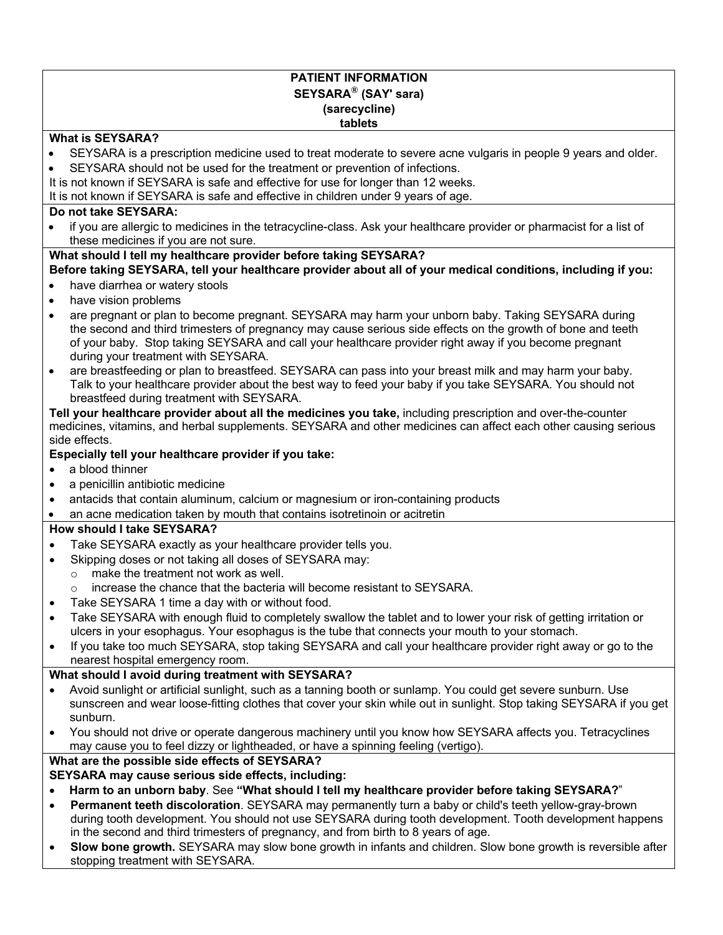#### **PATIENT INFORMATION SEYSARA® (SAY' sara) (sarecycline) tablets**

#### **What is SEYSARA?**

- SEYSARA is a prescription medicine used to treat moderate to severe acne vulgaris in people 9 years and older.
- SEYSARA should not be used for the treatment or prevention of infections.
- It is not known if SEYSARA is safe and effective for use for longer than 12 weeks.
- It is not known if SEYSARA is safe and effective in children under 9 years of age.

#### **Do not take SEYSARA:**

• if you are allergic to medicines in the tetracycline-class. Ask your healthcare provider or pharmacist for a list of these medicines if you are not sure.

#### **What should I tell my healthcare provider before taking SEYSARA?**

#### **Before taking SEYSARA, tell your healthcare provider about all of your medical conditions, including if you:**

- have diarrhea or watery stools
- have vision problems
- are pregnant or plan to become pregnant. SEYSARA may harm your unborn baby. Taking SEYSARA during the second and third trimesters of pregnancy may cause serious side effects on the growth of bone and teeth of your baby. Stop taking SEYSARA and call your healthcare provider right away if you become pregnant during your treatment with SEYSARA.
- are breastfeeding or plan to breastfeed. SEYSARA can pass into your breast milk and may harm your baby. Talk to your healthcare provider about the best way to feed your baby if you take SEYSARA. You should not breastfeed during treatment with SEYSARA.

#### **Tell your healthcare provider about all the medicines you take,** including prescription and over-the-counter medicines, vitamins, and herbal supplements. SEYSARA and other medicines can affect each other causing serious side effects.

#### **Especially tell your healthcare provider if you take:**

- a blood thinner
- a penicillin antibiotic medicine
- antacids that contain aluminum, calcium or magnesium or iron-containing products
- an acne medication taken by mouth that contains isotretinoin or acitretin

#### **How should I take SEYSARA?**

- Take SEYSARA exactly as your healthcare provider tells you.
- Skipping doses or not taking all doses of SEYSARA may:
	- o make the treatment not work as well.
	- o increase the chance that the bacteria will become resistant to SEYSARA.
- Take SEYSARA 1 time a day with or without food.
- Take SEYSARA with enough fluid to completely swallow the tablet and to lower your risk of getting irritation or ulcers in your esophagus. Your esophagus is the tube that connects your mouth to your stomach.
- If you take too much SEYSARA, stop taking SEYSARA and call your healthcare provider right away or go to the nearest hospital emergency room.

#### **What should I avoid during treatment with SEYSARA?**

- Avoid sunlight or artificial sunlight, such as a tanning booth or sunlamp. You could get severe sunburn. Use sunscreen and wear loose-fitting clothes that cover your skin while out in sunlight. Stop taking SEYSARA if you get sunburn.
- You should not drive or operate dangerous machinery until you know how SEYSARA affects you. Tetracyclines may cause you to feel dizzy or lightheaded, or have a spinning feeling (vertigo).

#### **What are the possible side effects of SEYSARA?**

- **SEYSARA may cause serious side effects, including:**
- **Harm to an unborn baby**. See **"What should I tell my healthcare provider before taking SEYSARA?**"
- **Permanent teeth discoloration**. SEYSARA may permanently turn a baby or child's teeth yellow-gray-brown during tooth development. You should not use SEYSARA during tooth development. Tooth development happens in the second and third trimesters of pregnancy, and from birth to 8 years of age.
- **Slow bone growth.** SEYSARA may slow bone growth in infants and children. Slow bone growth is reversible after stopping treatment with SEYSARA.